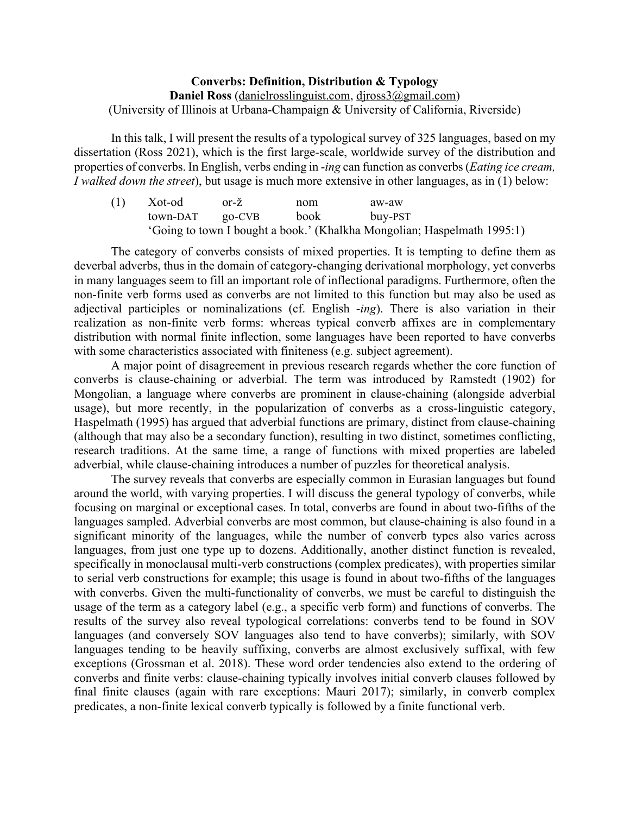## **Converbs: Definition, Distribution & Typology Daniel Ross** (danielrosslinguist.com, djross3@gmail.com) (University of Illinois at Urbana-Champaign & University of California, Riverside)

In this talk, I will present the results of a typological survey of 325 languages, based on my dissertation (Ross 2021), which is the first large-scale, worldwide survey of the distribution and properties of converbs. In English, verbs ending in -*ing* can function as converbs (*Eating ice cream, I walked down the street*), but usage is much more extensive in other languages, as in (1) below:

| (1) | Xot-od   | $or-\zeta$ | nom  | aw-aw                                                                   |  |
|-----|----------|------------|------|-------------------------------------------------------------------------|--|
|     | town-DAT | $QO-CVB$   | book | buy-PST                                                                 |  |
|     |          |            |      | 'Going to town I bought a book.' (Khalkha Mongolian; Haspelmath 1995:1) |  |

The category of converbs consists of mixed properties. It is tempting to define them as deverbal adverbs, thus in the domain of category-changing derivational morphology, yet converbs in many languages seem to fill an important role of inflectional paradigms. Furthermore, often the non-finite verb forms used as converbs are not limited to this function but may also be used as adjectival participles or nominalizations (cf. English -*ing*). There is also variation in their realization as non-finite verb forms: whereas typical converb affixes are in complementary distribution with normal finite inflection, some languages have been reported to have converbs with some characteristics associated with finiteness (e.g. subject agreement).

A major point of disagreement in previous research regards whether the core function of converbs is clause-chaining or adverbial. The term was introduced by Ramstedt (1902) for Mongolian, a language where converbs are prominent in clause-chaining (alongside adverbial usage), but more recently, in the popularization of converbs as a cross-linguistic category, Haspelmath (1995) has argued that adverbial functions are primary, distinct from clause-chaining (although that may also be a secondary function), resulting in two distinct, sometimes conflicting, research traditions. At the same time, a range of functions with mixed properties are labeled adverbial, while clause-chaining introduces a number of puzzles for theoretical analysis.

The survey reveals that converbs are especially common in Eurasian languages but found around the world, with varying properties. I will discuss the general typology of converbs, while focusing on marginal or exceptional cases. In total, converbs are found in about two-fifths of the languages sampled. Adverbial converbs are most common, but clause-chaining is also found in a significant minority of the languages, while the number of converb types also varies across languages, from just one type up to dozens. Additionally, another distinct function is revealed, specifically in monoclausal multi-verb constructions (complex predicates), with properties similar to serial verb constructions for example; this usage is found in about two-fifths of the languages with converbs. Given the multi-functionality of converbs, we must be careful to distinguish the usage of the term as a category label (e.g., a specific verb form) and functions of converbs. The results of the survey also reveal typological correlations: converbs tend to be found in SOV languages (and conversely SOV languages also tend to have converbs); similarly, with SOV languages tending to be heavily suffixing, converbs are almost exclusively suffixal, with few exceptions (Grossman et al. 2018). These word order tendencies also extend to the ordering of converbs and finite verbs: clause-chaining typically involves initial converb clauses followed by final finite clauses (again with rare exceptions: Mauri 2017); similarly, in converb complex predicates, a non-finite lexical converb typically is followed by a finite functional verb.